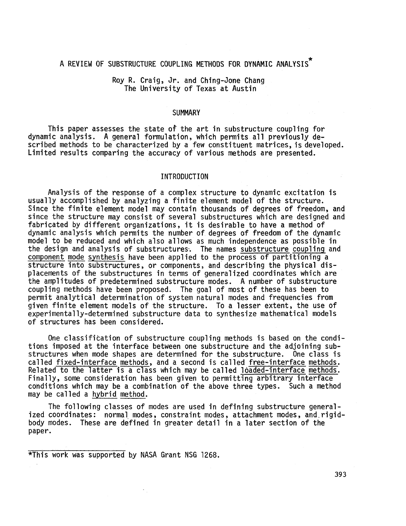## A REVIEW OF SUBSTRUCTURE COUPLING METHODS FOR DYNAMIC ANALYSIS<sup>\*</sup>

## Roy R. Craig, Jr. and Ching-Jone Chang The University of Texas at Austin

#### **SUMMARY**

This paper assesses the state of the art in substructure coupling for dynamic analysis. A general formulation, which permits all previously described methods to be characterized by a few constituent matrices, is developed. Limited results comparing the accuracy of various methods are presented.

#### INTRODUCTION

Analysis of the response of a complex structure to dynamic excitation is usually accomplished by analyzing a finite element model of the structure. Since the finite element model may contain thousands of degrees of freedom, and since the structure may consist of several substructures which are designed and fabricated by different organizations, it is desirable to have a method of dynamic analysis which permits the number of degrees of freedom of the dynamic model to be reduced and which also allows as much independence as possible in the design and analysis of substructures. The names substructure coupling and component mode synthesis have been applied to the process of partitioning a structure into substructures, or components, and describing the physical displacements of the substructures in terms of generalized coordinates which are the amplitudes of predetermined substructure modes. A number of substructure coupling methods have been proposed. The goal of most of these has been to permit analytical determination of system natural modes and frequencies from given finite element models of the structure. To a lesser extent, the use of experimentally-determined substructure data to synthesize mathematical models of structures has been considered.

One classification of substructure coupling methods is based on the conditions imposed at the interface between one substructure and the adjoining substructures when mode shapes are determined for the substructure. One class is called fixed-interface methods, and a second is called free-interface methods. Related to the latter is a class which may be called loaded-interface methods. Finally, some consideration has been given to permitting arbitrary interface conditions which may be a combination of the above three types. Such a method may be called a hybrid method.

The following classes of modes are used in defining substructure generalized coordinates: normal modes, constraint modes, attachment modes, and.rigidbody modes. These are defined in greater detail in a later section of the paper.

\*This work was supported by NASA Grant NSG 1268.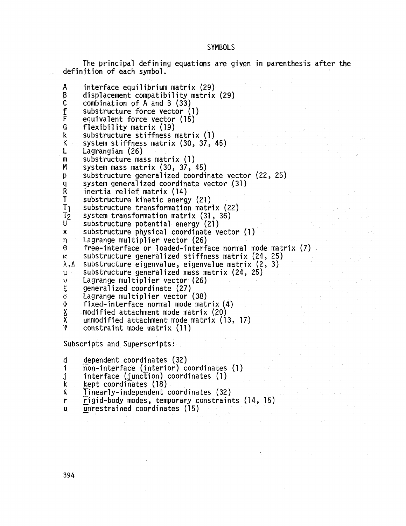## **SYMBOLS**

The principal defining equations are given in parenthesis after the definition of each symbol.

 $interface$  equilibrium matrix  $(29)$ **A B**  displacement compatibility matrix (29) C combination of **A** and B (33) substructure force vector (1) f equivalent force vector (15)<br>flexibility matrix (19) **F**  G flexibility matrix (19) k substructure stiffness matrix (1 ) K system stiffness matrix (30, 37, 45) L Lagrangian (26) **m**  substructure mass matrix (1) M system mass matrix (30, 37, 45) P substructure generalized coordinate vector (22 25) system generalized coordinate vector (31)<br>inertia relief matrix (14) **9**  R inertia relief matrix (14) T substructure kinetic energy (21) T1 substructure transformation matrix (22) system transformation matrix (31 , 36)  $T<sub>2</sub>$ **U**  substructure potential energy (21 ) substructure physical coordinate vector (1 )  $\mathsf{x}$  $\eta$ Lagrange mu1 tipl ier vector (26)  $\Theta$ free-interface or loaded-interface normal mode matrix (7)  $\kappa$ substructure generalized stiffness matrix (24, 25) substructure eigenvalue, eigenvalue matrix (2 , 3) substructure generalized mass matrix (24, 25)<br>Lagrange multiplier vector (26)<br>generalized coordinate (27)  $\mathfrak{u}$  $\dot{v}$ Lagrange mu1 tipl ier vector (26)  $\xi$ generalized coordinate (27)  $\overline{\phantom{a}}$ Lagrange multiplier vector (38)  $\sigma$ fixed-interface normal mode matrix (4)  $\Phi$ modified attachment mode matrix (20) **X ii**  unmodified attachment mode matrix (13, 17) constraint mode matrix (11)

Subscripts and Superscripts:

d dependent coordinates (32)<br>i non-interface (interior) coo

- i non-interface (interior) coordinates (1)<br>j interface (junction) coordinates (1)
- **j** interface (junction) coordinates (1)<br>k<sub>-</sub> kept coordinates (18)
- 
- 
- k kept coordinates (18)<br>2 Iinearly-independent coordinates (32)<br>r Figid-body modes, temporary constraints (14, 15) <sup>r</sup>- rigid-body modes , temporary constraints (14, 15)

 $\label{eq:2.1} \mathcal{L}(\mathcal{M}) = \mathcal{L}(\mathcal{M}) = \mathcal{L}(\mathcal{M})$ 

 $unrestrained coordinates (15)$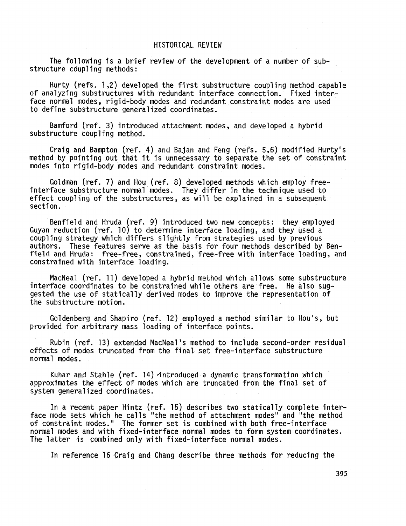## HISTORICAL REVIEW

The following is a brief review of the development of a number of substructure coupling methods:

Hurty (refs. 1,Z) developed the first substructure coupling method capable of analyzing substructures with redundant interface connection. Fixed interface normal modes, rigid-body modes and redundant constraint modes are used to define substructure general ized coordinates.

Bamford (ref. 3) introduced attachment modes, and developed a hybrid substructure coupling method.

Craig and Bampton (ref. 4) and Bajan and Feng (refs. **5,6)** modified Hurty's method by pointing out that it is unnecessary to separate the set of constraint modes into rigid-body modes and redundant constraint modes.

Goldman (ref. 7) and Hou (ref. 8) developed methods which employ freeinterface substructure normal modes. They differ in the technique used to effect coupling of the substructures, as will be explained in a subsequent section.

Benfield and Hruda (ref. 9) introduced two new concepts: they employed Guyan reduction (ref. 10) to determine interface loading, and they used a coupling strategy which differs slightly from strategies used by previous authors. field and Hruda: free-free, constrained, free-free with interface loading, and constrained with interface loading. These features serve as the basis for four methods described by Ben-

MacNeal (ref. 11) developed a hybrid method which allows some substructure interface coordinates to be constrained while others are free. He also suggested the use of statically derived modes to improve the representation of the substructure motion.

provided for arbitrary mass loading of interface points. Goldenberg and Shapiro (ref. 12) employed a method similar to HOU'S, but

effects of modes truncated from the final, set free-interface substructure normal modes. Rubin (ref. 13) extended MacNeal 's method to include second-order residual

Kuhar and Stahle (ref. 14) \*introduced a dynamic transformation which approximates the effect of modes which are truncated from the final set of system generalized coordinates.

ΥÜ.

face mode sets which he calls "the method of attachment modes" and "the method of constraint modes." The former set is combined with both free-interface normal modes and with fixed-interface normal modes to form system coordinates. The latter is combined only with fixed-interface normal modes. In a recent paper Hintz (ref. 15) describes two statically complete inter-

In reference 16 Craig and Chang describe three methods for reducing the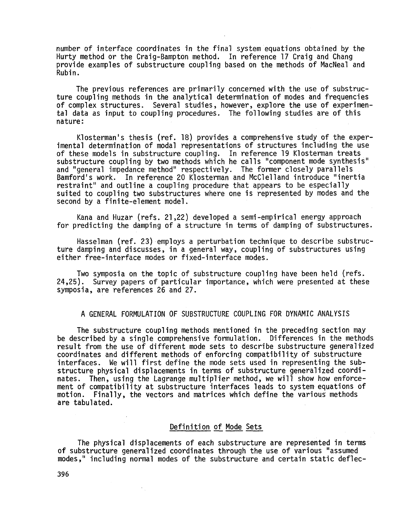number of interface coordinates in the final system equations obtained by the Hurty method or the Craig-Bampton method. In reference 17 Craig and Chang provide examples of substructure coupling based on the methods of MacNeal and Rubin.

The previous references are primarily concerned with the use of substructure coupling methods in the analytical determination of modes and frequencies ture coupling methods in the analytical determination of modes and frequencies<br>of complex structures. Several studies, however, explore the use of experimental data as input to coupling procedures. The following studies are of this nature:

Klosterman's thesis (ref. 18) provides a Comprehensive study of the experimental determination of modal representations of structures including the use of these models in substructure coupling. In reference 19 Klosterman treats substructure coupling by two methods which he calls "component mode synthesis" and ''general impedance method" respectively. The former closely para1 lels Bamford's work. In reference 20 Klosterman and McClelland introduce "inertia restraint" and outline a coupling procedure that appears to be especially suited to coupling two substructures where one is represented by modes and the second by a finite-element model.

Kana and Huzar (refs. 21,22) developed a semi-empirical energy approach for predicting the damping of a structure in terms of damping of substructures.

Hasselman (ref. **23)** employs a perturbation technique to describe substructure damping and discusses, in a general way, coupling of substructures using either free-interface modes or fixed-interface modes.

Two symposia on the topic of substructure coupling have been held (refs. 24,25). Survey papers of particular importance, which were presented at these symposia, are references 26 and 27.

A GENERAL FORMULATION OF SUBSTRUCTURE COUPLING FOR DYNAMIC ANALYSIS

The substructure coupling methods mentioned in the preceding section may be described by a single comprehensive formulation. Differences in the methods result from the use of different mode sets to describe substructure generalized coordinates and different methods of enforcing compatibility of substructure interfaces. We will first define the mode sets used in representing the substructure physical displacements in terms of substructure generalized coordi nates. Then, using the Lagrange multiplier method, we will show how enforcement of compatibility at substructure interfaces leads to system equations of motion. Finally, the vectors and matrices which define the various methods are tabulated.

## Definition of Mode Sets

The physical displacements of each substructure are represented in terms of substructure general ized coordinates through the use of various "assumed modes," including normal modes of the substructure and certain static deflec-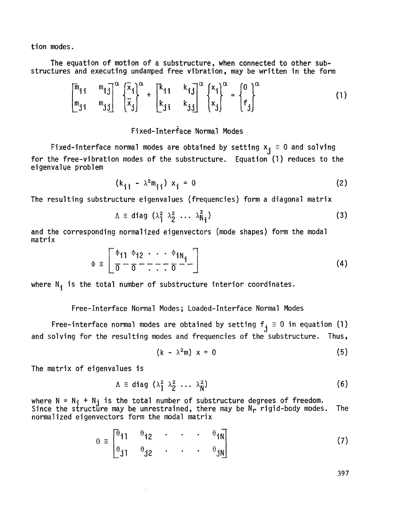tion modes.

The equation of motion of a substructure, when connected to other substructures and executing undamped free vibration, may be written in the form

$$
\begin{bmatrix} \overline{m}_{11} & \overline{m}_{1j} \\ \overline{m}_{j1} & \overline{m}_{j1} \end{bmatrix}^{\alpha} \begin{Bmatrix} \ddot{x}_{1} \\ \ddot{x}_{j} \end{Bmatrix}^{\alpha} + \begin{bmatrix} k_{11} & k_{1j} \\ k_{j1} & k_{j1} \end{bmatrix}^{\alpha} \begin{Bmatrix} x_{1} \\ x_{j} \end{Bmatrix}^{\alpha} = \begin{Bmatrix} 0 \\ f_{j} \end{Bmatrix}^{\alpha} \tag{1}
$$

# Fixed-Interface Normal Modes

Fixed-interface normal modes are obtained by setting  $x_j \equiv 0$  and solving for the free-vibration modes of the substructure. Equation (1) reduces to the eigenvalue probl em

$$
(k_{ij} - \lambda^2 m_{ij}) x_j = 0
$$
 (2)

The resulting substructure eigenvalues (frequencies) form a diagonal matrix

$$
\Lambda \equiv \text{diag} \ (\lambda_1^2 \ \lambda_2^2 \ \cdots \ \lambda_{N_i}^2) \tag{3}
$$

and the corresponding normalized eigenvectors (mode shapes) form the modal matrix

$$
\Phi = \left[ \frac{\phi_{i1}}{\sigma} - \frac{\phi_{i2}}{\sigma} - \frac{\phi_{iN}}{\sigma} - \frac{\phi_{iN}}{\sigma} \right]
$$
 (4)

where  $N_i$  is the total number of substructure interior coordinates.

## Free-Interface Normal Modes ; Loaded-Interface Normal Modes

Free-interface normal modes are obtained by setting  $f_j \equiv 0$  in equation (1) and solving for the resulting modes and frequencies of the substructure. Thus,

$$
((k - \lambda^2 m) x = 0 \tag{5}
$$

The matrix of eigenvalues is

$$
\Lambda \equiv \text{diag} \ (\lambda_1^2, \lambda_2^2 \ \ldots \ \lambda_N^2) \tag{6}
$$

where  $N = N_i + N_j$  is the total number of substructure degrees of freedom. Since the structure may be unrestrained, there may be  $N_r$  rigid-body modes. normalized eigenvectors form the modal matrix The

$$
\Theta \equiv \begin{bmatrix} \theta_{11} & \theta_{12} & \cdot & \cdot & \cdot & \theta_{1N} \\ \theta_{31} & \theta_{32} & \cdot & \cdot & \cdot & \theta_{3N} \end{bmatrix}
$$
 (7)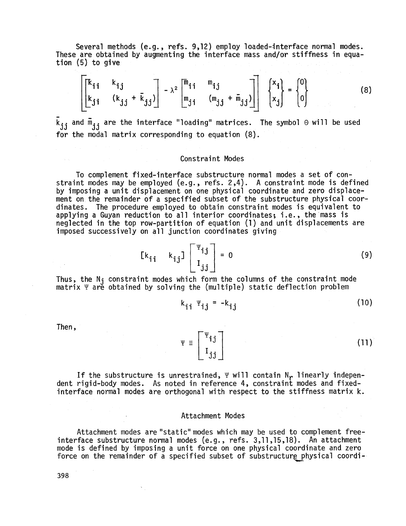Several methods (e.g., refs. 9,12) employ loaded-jnterface normal modes. These are obtained by augmenting the interface mass and/or stiffness in equation (5) to give

$$
\begin{bmatrix}\n\begin{bmatrix}\n\kappa_{ij} & \kappa_{ij} \\
\kappa_{ji} & (\kappa_{jj} + \bar{\kappa}_{jj})\n\end{bmatrix} - \lambda^2\n\begin{bmatrix}\n\bar{m}_{ij} & \bar{m}_{ij} \\
\bar{m}_{ji} & (\bar{m}_{jj} + \bar{m}_{jj})\n\end{bmatrix}\n\begin{bmatrix}\nx_i \\
x_j\n\end{bmatrix} = \n\begin{bmatrix}\n0 \\
0\n\end{bmatrix}
$$
\n(8)

 k<sub>jj</sub> and m<sub>jj</sub> are the interface "loading" matrices. The symbol 0 will be used<br>for the modal matrix corresponding to equation (8).

#### Constraint Modes

To complement fixed-interface substructure normal modes a set of constraint modes may be employed (e.g., refs. 2,4). A constraint mode is defined by imposing a unit displacement on one physical coordinate and zero displacement on the remainder of a specified subset of the substructure physical coordinates. The procedure employed to obtain constraint modes is equivalent to applying a Guyan reduction to all interior coordinates; i.e., the mass is neglected in the top row-partition of equation (1) and unit displacements are imposed successively on all junction coordinates giving

$$
\begin{bmatrix} k_{ij} & k_{ij} \end{bmatrix} \begin{bmatrix} \Psi_{ij} \\ I_{jj} \end{bmatrix} = 0
$$
 (9)

Thus, the  $N_j$  constraint modes which form the columns of the constraint mode matrix  $\Psi$  are obtained by solving the (multiple) static deflection problem

 $k_{ii}$   $\Psi_{ii}$  =  $-k_{ii}$  $(10)$ 

Then,

 $\Psi \equiv \begin{bmatrix} \Psi_{\mathbf{i} \mathbf{j}} \\ I_{\mathbf{i} \mathbf{j}} \end{bmatrix}$  $(11)$ 

If the substructure is unrestrained,  $\Psi$  will contain N<sub>r</sub> linearly independent rigid-body modes. As noted in reference 4, constraint modes and fixedinterface normal modes are orthogonal with respect to the stiffness matrix k.

#### Attachment Modes

Attachment modes are "static" modes which may be used to complement freeinterface substructure normal modes (e.g., refs. 3,11,15,18). An attachment mode is defined by imposing a unit force on one physical coordinate and zero force on the remainder of a specified subset of substructure physical coordi-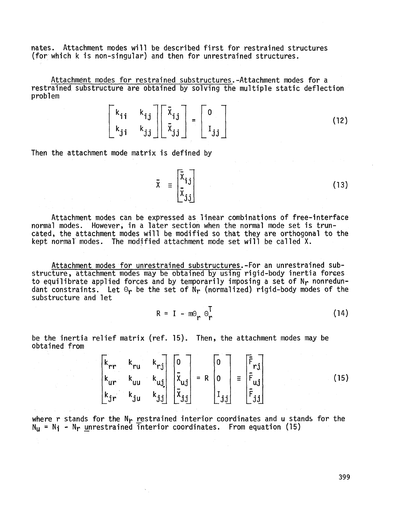nates. Attachment modes will be described first for restrained structures (for which **k** is non-singular) and then for unrestrained structures.

Attachment modes for restrained substructures.-Attachment modes for a restrained substructure are obtained by solving the multiple static deflection problem

$$
\begin{bmatrix} k_{ij} & k_{ij} \\ k_{ji} & k_{jj} \end{bmatrix} \begin{bmatrix} \bar{x}_{ij} \\ \bar{x}_{jj} \end{bmatrix} = \begin{bmatrix} 0 \\ I_{jj} \end{bmatrix}
$$
 (12)

Then the attachment mode matrix is defined by

$$
\bar{x} = \begin{bmatrix} \bar{x}_{1j} \\ \bar{x}_{3j} \end{bmatrix}
$$
 (13)

Attachment modes can be expressed as linear Combinations of free-interface normal modes. However, in a later section when the normal mode set is truncated, the attachment modes will be modified so that they are orthogonal to the kept normal' modes. The modified attachment mode set will be called X.

Attachment modes for unrestrained substructures. -For an unrestrained substructure, attachment modes may be obtained by using rigid-body inertia forces to equilibrate applied forces and by temporarily imposing a set of  $\mathsf{N}_{\mathsf{P}}$  nonredundant constraints. Let  $\Theta_{\bm r}$  be the set of  $N_{\bm r}$  (normalized) rigid-body modes of the substructure and let

> **T**   $(14)$  $R = I - m\Theta_r \Theta_r$

be the inertia relief matrix (ref. 15). Then, the attachment modes may be obtained from

$$
\begin{bmatrix}\nk_{rr} & k_{ru} & k_{rj} \\
k_{ur} & k_{uu} & k_{uj} \\
k_{jr} & k_{ju} & k_{jj}\n\end{bmatrix}\n\begin{bmatrix}\n0 \\
\bar{x}_{uj} \\
\bar{x}_{jj}\n\end{bmatrix} = R\n\begin{bmatrix}\n0 \\
0 \\
I_{jj}\n\end{bmatrix} = \begin{bmatrix}\n\bar{F}_{rj} \\
\bar{F}_{uj} \\
\bar{F}_{jj}\n\end{bmatrix}
$$
\n(15)

where r stands for the N<sub>r</sub> restrained interior coordinates and u stands for the<br>N<sub>U</sub> = N<sub>i</sub> - N<sub>r</sub> unrestrained interior coordinates. From equation (15)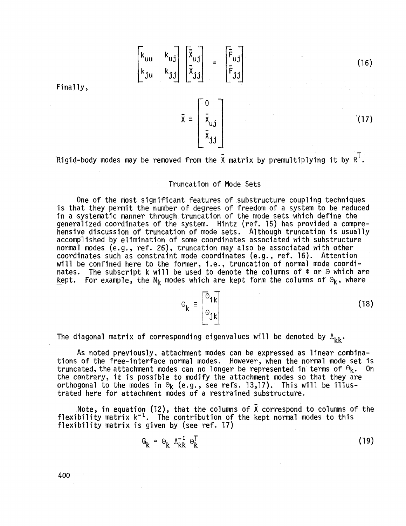$$
\begin{bmatrix}\nk_{uu} & k_{u,j} \\
k_{ju} & k_{j,j}\n\end{bmatrix}\n\begin{bmatrix}\n\overline{x}_{u,j} \\
\overline{x}_{j,j}\n\end{bmatrix} = \begin{bmatrix}\n\overline{F}_{u,j} \\
\overline{F}_{j,j}\n\end{bmatrix}
$$

Finally,

 $\bar{x} = \begin{bmatrix} \bar{x}_{uj} \\ \bar{x}_{uj} \\ \bar{x}_{j,i} \end{bmatrix}$ 

Rigid-body modes may be removed from the  $\bar{x}$  matrix by premultiplying it by  $R^T$ .

## Truncation of Mode Sets

One of the most significant features of substructure coupling techniques is that they permit the number of degrees of freedom of a system to be reduced in a systematic manner through truncation of the mode sets which define the generalized coordinates of the system. Hintz (ref. 15) has provided a comprehensive discussion of truncation of mode sets. Although truncation is usually accomplished by elimination of some coordinates associated with substructure normal modes (e.g., ref. 26), truncation may also be associated with other normal modes (e.g., ref. 26), truncation may also be associated v<br>coordinates such as constraint mode coordinates (e.g., ref. 16). will be confined here to the former, i.e., truncation of normal mode coordinates. The subscript k will be used to denote the columns of  $\Phi$  or *0* which are <u>k</u>ept. For example, the N<sub>k</sub> modes which are kept form the columns of  $\Theta_{\mathbf{k}}$ , where Attention

$$
\Theta_{k} \equiv \begin{bmatrix} \Theta_{ik} \\ \Theta_{jk} \end{bmatrix}
$$

 $(18)$ 

 $(16)$ 

 $(17)$ 

The diagonal matrix of corresponding eigenvalues will be denoted by  $\Lambda_{\nu\nu}$ .

As noted previously, attachment modes can be expressed as linear combinations of the free-interface normal modes. However, when the normal mode set is<br>truncated, the attachment modes can no longer be represented in terms of  $\Theta$ truncated, the attachment modes can no longer be represented in terms of  $\Theta_{k}$ . the contrary, it is possible to modify the attachment modes so that they are orthogonal to the modes in  $\Theta_k$  (e.g., see refs. 13,17). This will be illustrated here for attachment modes of a restrained substructure.

Note, in equation (12), that the columns of  $\bar{X}$  correspond to columns of the flexibility matrix  $k^{-1}$ . The contribution of the kept normal modes to this flexibility matrix is given by (see ref. 17)

$$
G_k = \Theta_k \Lambda_{kk}^{-1} \Theta_k^T
$$
 (19)

*400* '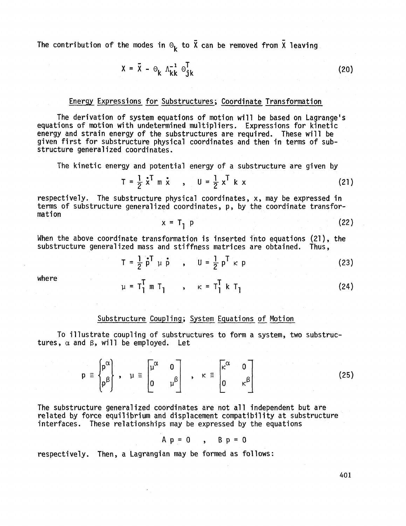The contribution of the modes in  $\Theta_k$  to  $\bar{X}$  can be removed from  $\bar{X}$  leaving

$$
X = \overline{X} - \Theta_k \Lambda_{kk}^{-1} \Theta_{jk}^T
$$
 (20)

## Energy Expressions for Substructures; Coordinate Transformation

The derivation of system equations of motion will be based on Lagrange's equations of motion with undetermined multipliers. Expressions for kinetic energy and strain energy of the substructures are required. These will be given first for substructure physical coordinates and then in terms of substructure generalized coordinates.

The kinetic energy and potential energy of a substructure are given by  
\n
$$
T = \frac{1}{2} \dot{x}^T \dot{m} \dot{x} , \quad U = \frac{1}{2} x^T k x
$$
\n(21)

respectively. The substructure physical coordinates, x, may be expressed in terms of substructure generalized coordinates, p, by the coordinate transformation

$$
x = T_1 p \tag{22}
$$

When the above coordinate transformation is inserted into equations  $(21)$ , the substructure generalized mass and stiffness matrices are obtained. Thus,

$$
T = \frac{1}{2} \dot{p}^T \mu \dot{p} , \qquad U = \frac{1}{2} p^T \kappa p
$$
 (23)

where

$$
\mu = T_1^T m T_1 , \qquad \kappa = T_1^T k T_1
$$
 (24)

## Substructure Coupling; System Equations of Motion

To illustrate coupling of substructures to form a system, two substructures,  $\alpha$  and  $\beta$ , will be employed. Let

$$
p \equiv \begin{bmatrix} p^{\alpha} \\ p^{\beta} \end{bmatrix}, \quad \mu \equiv \begin{bmatrix} \mu^{\alpha} & 0 \\ 0 & \mu^{\beta} \end{bmatrix}, \quad \kappa \equiv \begin{bmatrix} \kappa^{\alpha} & 0 \\ 0 & \kappa^{\beta} \end{bmatrix}
$$
 (25)

The substructure generalized coordinates are not all independent but are related by force equilibrium and displacement compatibility at substructure interfaces. These relationships may be expressed by the equations

$$
A p = 0 , B p = 0
$$

respectively. Then, a Lagrangian may be formed as follows: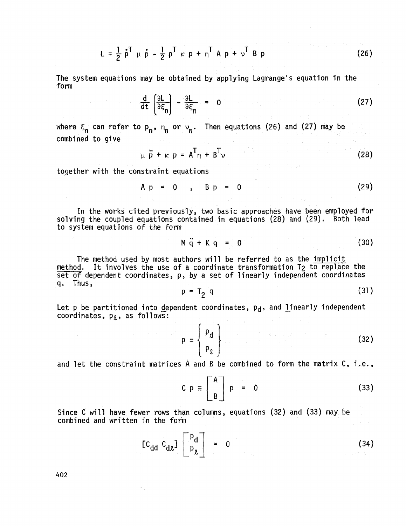$$
L = \frac{1}{2} \dot{p}^{T} \mu \dot{p} - \frac{1}{2} p^{T} \kappa p + \eta^{T} A p + \nu^{T} B p
$$
 (26)

The system equations may be obtained by applying Lagrange's equation in the form

$$
\frac{d}{dt} \left( \frac{\partial L}{\partial \xi_n} \right) - \frac{\partial L}{\partial \xi_n} = 0 \tag{27}
$$

where  $\xi_n$  can refer to  $p_n$ ,  $\eta_n$  or  $v_n$ . Then equations (26) and (27) may be combined to give

$$
\mu \ddot{\mathbf{p}} + \kappa \mathbf{p} = \mathbf{A}^{\mathsf{T}} \eta + \mathbf{B}^{\mathsf{T}} \mathbf{v}
$$
 (28)

together with the constraint equations

$$
Ap = 0 , BP = 0
$$
 (29)

In the works cited previously, two basic approaches have been employed for solving the coupled equations contained in equations (28) and (29). Both lead to system equations of the form

$$
M\ddot{q} + Kq = 0 \tag{30}
$$

The method used by most authors will be referred to as the implicit method. It involves the use of a coordinate transformation T<sub>2</sub> to replace the set of dependent coordinates, p, by a set of ljnearly independent coordinates q. Thus,

$$
p = T_2 q \tag{31}
$$

Let  $p$  be partitioned into <u>d</u>ependent coordinates,  $p_{\bf d}$ , and linearly independent coordinates,  $p_{\ell}$ , as follows:

> $(32)$  $p \equiv \{$  $P_{\ell}$  ]

and let the constraint matrices A and B be combined to form the matrix C, i.e.,

 $C~p~\equiv~$   $\begin{bmatrix} A \\ B \end{bmatrix}$   $p = 0$  (33)

Since C will have fewer rows than columns, equations (32) and (33) may be combined and written in the form

$$
\begin{bmatrix} C_{dd} & C_{dz} \end{bmatrix} \begin{bmatrix} P_d \\ P_{\ell} \end{bmatrix} = 0 \qquad (34)
$$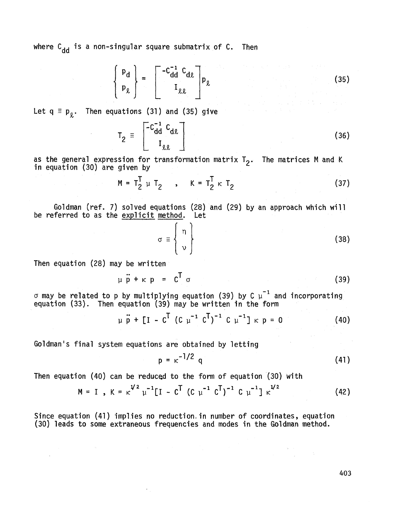where  $c_{dd}$  is a non-singular square submatrix of  $c$ . Then

$$
\begin{bmatrix} \mathbf{p}_{\mathbf{d}} \\ \mathbf{p}_{\ell} \end{bmatrix} = \begin{bmatrix} -c_{\mathbf{d}}^{-1} & c_{\mathbf{d}\ell} \\ I_{\ell\ell} \end{bmatrix} \mathbf{p}_{\ell} \qquad (35)
$$

Let  $q \equiv p_{\theta}$ . Then equations (31) and (35) give

$$
T_2 = \begin{bmatrix} -c_{dd}^{-1} & c_{dd} \\ I_{g,g} & \end{bmatrix}
$$
 (36)

as the general expression for transformation matrix **T,.**  as the general expression for transformation matrix T<sub>2</sub>. The matrices M and K<br>in equation (30) are given by

$$
M = T_2^T \mu T_2 , \qquad K = T_2^T \kappa T_2
$$
 (37)

Goldman (ref. **7)** solved equations (28) and **(29)** by an approach which will be referred to as the explicit method. Let

$$
\sigma \equiv \left\{ \begin{array}{c} \eta \\ v \end{array} \right\}
$$
 (38)

Then equation (28) may be written

 $\Delta \phi$ 

 $\sim$ 

$$
\mu \ddot{p} + \kappa p = C^{\text{T}} \sigma \tag{39}
$$

 $\sigma$  may be related to p by multiplying equation (39) by C  $\mu^{-1}$  and incorporating equation **(33).** Then equation **(39)** may be written in the form

$$
\mu \ddot{p} + [I - C^T (C \mu^{-1} C^T)^{-1} C \mu^{-1}] \kappa p = 0 \qquad (40)
$$

Goldman's final system equations are obtained by letting

$$
p = \kappa^{-1/2} q \tag{41}
$$

Then equation (40) can be reduced to the form of equation **(30)** with

$$
M = I, K = \kappa^{1/2} \mu^{-1} [I - C^{T} (C \mu^{-1} C^{T})^{-1} C \mu^{-1}] \kappa^{1/2}
$$
 (42)

Since equation (41) implies no reduction. in number of coordinates, equation (30) leads to some extraneous frequencies and modes in the Goldman method.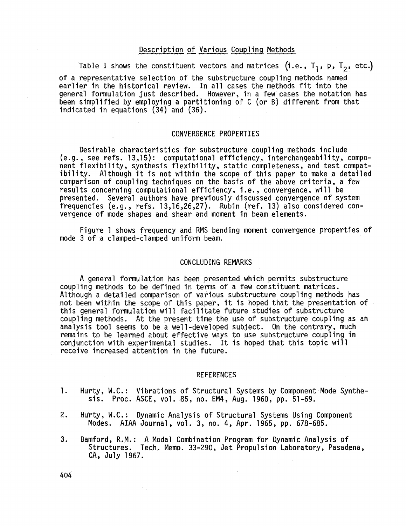## Description of Various Coup1 ing Methods

Table I shows the constituent vectors and matrices (i.e.,  $T_1$ , p,  $T_2$ , etc.)

of a representative selection of the substructure coupling methods named earlier in the historical review. In all cases the methods fit into the general formulation just described. However, in a few cases the notation has been simplified by employing a partitioning of C (or 9) different from that indicated in equations (34) and (36).

## CONVERGENCE PROPERTIES

Desirable characteristics for substructure coupling methods include (e.g. , see refs. 13,15): computational efficiency, interchangeability, component flexibility, synthesis flexibility, static completeness, and test compatibility. Although it is not within the scope of this paper to make a detailed comparison of coupling techniques on the basis of the above criteria, a few results concerning computational efficiency, i .e. , convergence, will be presented. Several authors have previously discussed convergence of system frequencies (e.g. refs. 13,16,26,27). Rubin (ref. 13) also considered convergence of mode shapes and shear and moment in beam elements.

mode 3 of a clamped-clamped uniform beam. Figure 1 shows frequency and RMS bending moment convergence properties of

#### CONCLUDING REMARKS

A general formulation has been presented which permits substructure coupling methods to be defined in terms of a few constituent matrices. Although a detailed comparison of various substructure coupling methods has not been within the scope of this paper, it is hoped that the presentation of this general formulation will facilitate future studies of substructure coupling methods. At the present time the use of substructure coupling as an analysis tool seems to be a well-developed subject. On the contrary, much remains to be learned about effective ways to use substructure coupling in conjunction with experimental studies. It is hoped that this topic will receive increased attention in the future.

#### REFERENCES

- **1.**  Hurty, W.C.: Vibrations of Structural Systems by Component Mode Synthesis. Proc. ASCE, vol. 85, no. EM4, Aug. 1960, pp. 51-69.
- 2. Hu'rty, W.C. : Dynamic Analysis of Structural Systems Using Component rty, W.C.: Dynamic Analysis of Structural Systems Using Com<br>Modes. AIAA Journal, vol. 3, no. 4, Apr. 1965, pp. 678-685.
- **3.**  Bamford, R.M.: A Modal Combination Program for Dynamic Analysis of Structures. Tech. Memo. 33-290, Jet Propulsion Laboratory, Pasadena,<br>CA, July 1967.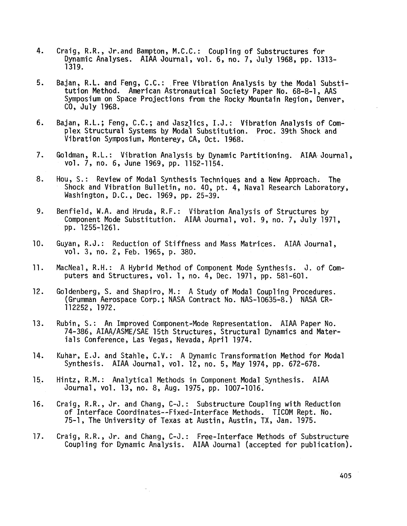- 4. Craig, R.R., Jr.and Bampton, M.C.C. : Coupling of Substructures for aig, K.K., or.and Bampton, M.C.C.: Coupling or Substructures for<br>Dynamic Analyses. AIAA Journal, vol. 6, no. 7, July 1968, pp. 1313-1319.
- 5. Bajan, R.L. and Feng, C.C.: Free Vibration Analysis by the Modal Substijan, R.L. and Feng, C.C.: Free Vibration Analysis by the Modal Subs<br>tution Method. American Astronautical Society Paper No. 68-8-1, AAS Symposium on Space Projections from the Rocky Mountain Region, Denver, CO, July 1968.
- 6. Bajan, R.L.; Feng, C.C.; and Jaszjics, I.J.: Vibration Analysis of Complex Structural Systems by Modal Substitution. Proc. 39th Shock and Vibration Symposium, Monterey, CA, Oct. 1968.
- 7. vol. 7, no. 6, June 1969, pp. 1152-1154. Goldman, R.L.: Vibration Analysis by Dynamic Partitioning. AIAA Journal,
- 8. Shock and Vibration Bulletin, no. 40, pt. 4, Naval Research Laboratory, Washington, D.C., Dec. 1969, pp. 25-39. Hou, S.: Review of Modal Synthesis Techniques and a New Approach. The
- 9. Benfield, W.A. and Hruda, R.F.: Vibration Analysis of Structures by Component Mode Substitution. AIAA Journal, vol. 9, no. 7, July 1971, pp. 1255-1261.
- 10. Guyan, R.J.: Reduction of Stiffness and Mass Matrices. AIAA Journal, vol. **3,** no. 2, Feb. 1965, **p.** 380.
- 11. MacNeal, R.H.: A Hybrid Method of Component Mode Synthesis. J. of Computers and Structures, vol. 1, no. 4, Dec. 1971, pp. 581-601.
- 12. Goldenberg, S. and Shapiro, M.: A Study of Modal Coupling Procedures. (Grumman Aerospace Corp. ; NASA Contract No. NAS-10635-8. ) NASA CR-112252, 1972.
- 13. Rubin, S.: An Improved Component-Mode Representation. AIAA Paper No. 74-386, AIAA/ASME/SAE 15th Structures, Structural Dynamics and Materials Conference, Las Vegas, Nevada, April 1974.
- 14. Kuhar, E.J. and Stahle, C.V.: A Dynamic Transformation Method for Modal Synthesis. AIAA Journal, vol. 12, no. 5, May 1974, pp. 672-678.
- 15.. Hintz, R.M. : Analytical Methods in Component Modal Synthesis. AIAA Journal, vol. 13, no. 8, Aug. 1975, pp. 1007-1016.

÷.

- 16. Craig, R.R., Jr. and Chang, C-J.: Substructure Coupling with Reduction of Interface Coordinates--Fixed-Interface Methods. TICOM Rept. No. 75-1, The University of Texas at Austin, Austin, TX, Jan. 1975.
- 17. Coup1 ing for Dynamic Analysis. AIAA Journal (accepted for pub1 ication). Craig, R.R., Jr. and Chang, C-J. : Free-Interface Methods of Substructure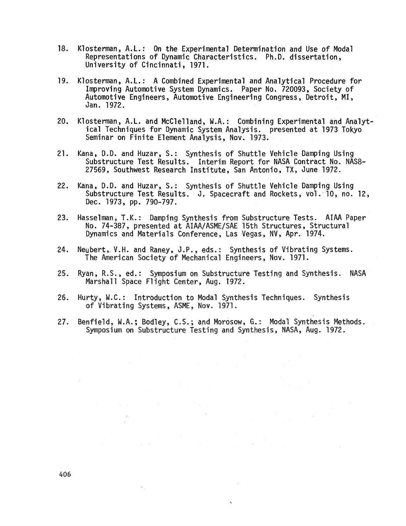- 18. Klosterman, A.L.: On the Experimental Determination and Use of Modal Representations of Dynamic Characteristics. Ph. D. dissertation , University of Cincinnati , 1971.
- 19. Klosterman, A.L.: A Combined Experimental and Analytical Procedure for Improving Automotive System Dynamics. Paper No. 720093, Society of Automotive Engineers, Automotive Engineering Congress , Detroit, MI , Jan. 1972.
- $20.$ Klosterman, A.L. and McClelland, W.A.: Combining Experimental and Analytical Techniques for Dynamic System Analysis. presented at 1973 Tokyo Seminar on Finite Element Analysis, Nov. 1973.
- 21. Kana, D.D. and Huzar, S.: Synthesis of Shuttle Vehicle Damping Using Substructure Test Results. Interim Report for NASA Contract No. NAS8-27569, Southwest Research Institute, San Antonio, TX, June 1972.
- 22. Kana, D.D. and Huzar, S.: Synthesis of Shuttle Vehicle Damping Using Substructure Test Results. J. Spacecraft and Rockets, vol. 10, no. 12, Dec. 1973, pp. 790-797.
- 23. No. 74-387 , presented at AIAA/ASME/SAE 15th Structures , Structural Dynamics and Materials Conference, Las Vegas, NV, Apr. 1974. Hasselman, T.K.: Damping Synthesis from Substructure Tests. AIAA Paper
- 24. Neubert, V.H. and Raney, J.P., eds.: Synthesis of Vibrating Systems. The American Society of Mechanical Engineers, Nov. 1971.
- 25. Ryan, R.S., ed.: Symposium on Substructure Testing and Synthesis. NASA Marshall Space Flight Center, Aug. 1972.
- 26. Hurty, W.C.: Introduction to Modal Synthesis Techniques. Synthesis of Vibrating Systems, ASME, Nov. 1971.
- 27. Benfield, W.A.; Bodley, C.S.; and Morosow, G.: Modal Synthesis Methods. Symposium on Substructure Testing and Synthesis, NASA, Aug. 1972.

 $\mathbf{v}$ 

 $\sim$ 

 $\epsilon_{\rm{in}}$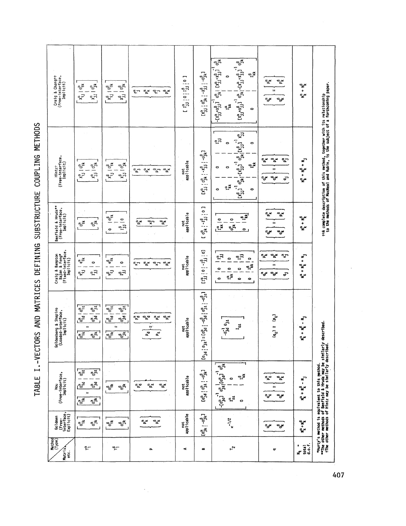TABLE I.-VECTORS AND MATRICES DEFINING SUBSTRUCTURE COUPLING METHODS

| Method<br>(Type)<br>Matrix<br>etc.            | Goldman<br>(Free-<br>interface,<br>Explicit)                                                                       | (Free-interface,<br>Implicit)<br>For                                                                                                                                                 | Goldenberg & Shapiro<br>(Loaded-interface,<br>Implicit)                                                                                                                      | Craig & Bampton<br>Bajan & Feng*<br>(Fixed-interface,<br>Implicit)                                                                                  | Hruda**<br>Benfield & Hruda*"<br>(Free-interface,<br>Implicit)        | (Free-interface,<br>Implicit)<br>Hintzi                                                                                                                                                                                                               | Craig & Changtt<br>(Free-interface,<br>Implicit)                                                                                                                                                                                                                                                                                                                                                     |
|-----------------------------------------------|--------------------------------------------------------------------------------------------------------------------|--------------------------------------------------------------------------------------------------------------------------------------------------------------------------------------|------------------------------------------------------------------------------------------------------------------------------------------------------------------------------|-----------------------------------------------------------------------------------------------------------------------------------------------------|-----------------------------------------------------------------------|-------------------------------------------------------------------------------------------------------------------------------------------------------------------------------------------------------------------------------------------------------|------------------------------------------------------------------------------------------------------------------------------------------------------------------------------------------------------------------------------------------------------------------------------------------------------------------------------------------------------------------------------------------------------|
| นา                                            | $\tilde{\boldsymbol{\varepsilon}}_{\boldsymbol{\theta}}^{\boldsymbol{\varepsilon}}$<br>$\tilde{e}^{\rm s}_{\rm s}$ | $e_{j3}^{\alpha}$<br>$e_{\mathbf{r}}^{\mathbf{a}}$<br>$e_{\rm id}^{\rm c}$<br>$\int_{\sigma}^{\infty}$<br>ÌИ<br>$\overline{\varepsilon}$<br>$\mathbf{1}_{\mathbf{g}^{(\mathsf{c})}}$ | $\begin{bmatrix} 6\frac{1}{2}i\end{bmatrix}$<br>$\sigma_{i\ell}^a$<br>$\mathbb{R}^6$<br>ಀೄಁ<br>$\mathbf{u}$<br>$\sqrt{\frac{3}{25}}$<br>$\overline{e_{j\star}^{\mathbf{g}}}$ | $\mathbf{e}_{\boldsymbol{\phi}}^{\mathbf{e}}$<br>$\bullet$<br>$\epsilon_{\rm D}^2$<br>$\mathbf{r}^{\mathbf{a}}_{\mathbf{r}^{\mathbf{a}}}$           | ๎๏*<br>$\frac{5}{2}$                                                  | $x_{i,j}^\alpha \mid \theta_{ik}^\alpha$<br>$\chi^{\alpha}_{\rm jj}$   $\sigma^{\alpha}_{\rm jk}$                                                                                                                                                     | $x_{33}^{\alpha}$   $\frac{\alpha}{3k}$<br>$\frac{1}{2}$<br>$x_{i,j}^{\alpha}$ .                                                                                                                                                                                                                                                                                                                     |
| T                                             | $a_0^*$<br>ືື້                                                                                                     | $\mathfrak{s}^{\mathfrak{g}}_{\mathfrak{g}}$<br>$\mathbf{e}^{\mathbf{e}}_{\mathbf{k}}$                                                                                               | $\frac{a}{\sigma^2}$<br>್ಕೈ<br>ႜႜႍ႞ၜ<br>$\frac{a_0}{2}$<br>m<br>г<br>$\overline{\mathcal{C}^{\mathbf{g}}_{\mathbf{y}}$<br>្រុះ<br>ក្រុ                                       | ั้∝ู≃ั<br>$\circ$<br>$\mathbb{F}_{\mathbb{P}^2}$<br>$\tilde{\mathbf{r}}_{\mathbf{J}}$                                                               | г<br>$a_0^*$<br>$\mathbf{a}_{\mathbf{B}}$<br>$\bullet$                | $x_{j,j}^{\beta} + \theta_{jk}^{\beta}$<br>$x_{i,j}^{\beta}$   $\circ_i^{\beta}$ $\star$                                                                                                                                                              | $\begin{array}{c}\n\mathbf{x}_0^{\mathsf{B}} & \mathsf{J}_0^{\mathsf{B}} \\ \mathbf{y}_1^{\mathsf{B}} & \mathsf{J}_1^{\mathsf{B}}\n\end{array}$<br>$x_{1j}^{\beta}$   $\Theta_{1k}^{\beta}$                                                                                                                                                                                                          |
| $\cdot$<br>م                                  | بره<br>آه<br>$\frac{a}{a}$                                                                                         | $\sigma_{\rm m}$<br>ىدە<br>ిన్                                                                                                                                                       | ್ಕ್ಡಿಕ<br>ಕ್ಕಿತ<br>$a_{\alpha}^{\alpha}$<br>್ಕೆ<br>m.<br>$\overline{z}$<br>۹ì                                                                                                | $\mathbf{e}^{\mathbf{x}}$<br>$\frac{a}{b}$<br>ຶ້<br>ా                                                                                               | $\frac{a}{a}$<br>$\tilde{\mathbf{r}}^{\mathbf{x}}$<br>$a_x$           | ໍລ<br>$\frac{a}{a}$<br>ينې<br>م<br>متعي                                                                                                                                                                                                               | ್ದೆ×<br>$a_{\alpha}^{\alpha}$<br>دج<br>بية                                                                                                                                                                                                                                                                                                                                                           |
| ÷                                             | not<br>applicable                                                                                                  | applicable<br>Ë                                                                                                                                                                      | not<br>applicable                                                                                                                                                            | applicable<br>ë                                                                                                                                     | applicable<br>not                                                     | applicable<br>not.                                                                                                                                                                                                                                    | $\begin{smallmatrix}&&16\\1&13&1&0&1&15\\1&&1&3&1&0\end{smallmatrix}$                                                                                                                                                                                                                                                                                                                                |
| $\bullet$                                     | $\Gamma_{\theta}^{3k} = \frac{1}{2} \epsilon_1$                                                                    | $[e_{3}^{a}]_{0}^{a}]_{1}^{b}e_{1}^{b}$                                                                                                                                              | $\Gamma_{\rm d}^{\rm e}$<br>$\begin{bmatrix} -e_{j1}^{\beta} & e_{j2}^{\alpha} \end{bmatrix}$<br>$[e_0] = [e^{i\theta}e^{i\theta}]^{p}$                                      | $\Xi$ .<br>$\begin{bmatrix} 1^{\alpha}_{33} \mid 0 \mid -1^{\beta}_{33} \\ \end{bmatrix}$                                                           | ך ס<br>בין<br>פרי<br>œ<br>$\mathbb{R}^2$<br>ೄಿ<br>سه                  | $[X_{33}^{\alpha} \mid {}^{\text{o}}\!{\text{g}}\!{\text{k}} \mid {}^{\text{-}x_{33}^{\beta}} \mid {}^{\text{-} \text{o}}\!{\text{g}}\!{\text{k}}\!{1}$                                                                                               | $[X_{13}^{\alpha}] \begin{bmatrix} 0_{1k}^{\alpha} &   & -X_{13}^{\beta} &   & -0_{1k}^{\beta} \end{bmatrix}$                                                                                                                                                                                                                                                                                        |
| $r_{\mathbf{y}}$                              | $\kappa$ -1/2                                                                                                      | $\mathbf{e}_{\mathbf{S}}^{\mathbf{g}}$<br>¥ٍيَّة<br>۰<br>$\mathbf{I}^{\alpha}_{\text{st}}$<br>۰                                                                                      | $v_6$ $v_6$ $v_6$<br>$\mathbf{r}_{\mathbf{r}}$                                                                                                                               | ะุวิ<br><b>م</b> ية<br>13<br>$\bullet$<br>$\bullet$<br>$a_{\tilde{\star}}$<br>$\circ$<br>$\circ$<br>0<br>¤ٍے<br>$\bullet$<br>$\bullet$<br>$\bullet$ | <u>ूर</u><br>흑<br>$\mathbf{e}_{\mathbf{p}}^{\mathbf{e}}$<br>$\bullet$ | $\begin{bmatrix} x_{31}^6 \\ x_{31}^7 \end{bmatrix}$ or $\begin{bmatrix} x_{31}^6 \\ x_{31}^6 \end{bmatrix}$ or $\begin{bmatrix} x_{31}^6 \\ x_{31}^6 \end{bmatrix}$<br>ה.<br>הי<br>$\bullet$<br>0<br>$\mathbb{R}^n$<br>۰<br>Ó<br>≆ٍہ<br>٥<br>$\circ$ | $\begin{bmatrix} 1 & 0 \\ 0 & 0 \\ 0 & 0 \end{bmatrix} \begin{bmatrix} 1 & 0 \\ 0 & 1 \\ 0 & 0 \end{bmatrix} + \begin{bmatrix} 1 & 0 \\ 0 & 1 \\ 0 & 1 \end{bmatrix} \begin{bmatrix} 1 & 0 \\ 0 & 1 \\ 0 & 0 \end{bmatrix}$<br>$[x_{j_1}^{\alpha} + x_{j_2}^{\beta}]^{-1} \circ_{j_1}^{1} + [x_{j_1}^{\alpha} + x_{j_2}^{\beta}]^{-1} \circ_{j_1}^{0}$<br>≭ٍہ<br>$\bullet$<br>$I_{kk}^{\alpha}$<br>0 |
| ᢦ                                             | $a_{\sigma}$<br>ికో                                                                                                | ್ಡೆ<br>$\mathbf{a}^{\mathbf{x}}_{\mathbf{a}}$<br>Ш<br>يده.<br>بوه                                                                                                                    | $\mathbf{e}^{\mathbf{a}}$<br>m<br>$\mathbf{q}_i$                                                                                                                             | ್ಲಿಕ<br>$a^*$<br>ట్లా<br>m<br>ికి<br>مي∞<br>تو                                                                                                      | يده<br>یده.<br>ه<br>ÚГ<br>يونه<br>پ<br>ىيە                            | $\alpha_{\Delta}$<br>يده<br>ిచె<br>ш<br>ىيە<br>یچە<br>ఛా                                                                                                                                                                                              | ٩×<br>$a_{\alpha}^{\alpha}$<br>Ħ<br>ىچە<br>ىيە                                                                                                                                                                                                                                                                                                                                                       |
| total<br>$\frac{1}{4}$ . f.<br>a<br>$\vec{z}$ | ې<br>مړينې<br>په                                                                                                   | $\vec{r}$<br>ò.<br>يو<br>په<br>پې                                                                                                                                                    | ֧֞֟׆֧<br>֧<br>يو<br>+<br>مړه                                                                                                                                                 | ₽<br>÷<br>مړينې<br>+<br>يده                                                                                                                         | ىيە<br>۰<br>ىرە                                                       | $N_{k}^{a} + N_{k}^{B} + N_{j}$                                                                                                                                                                                                                       | بولا<br>په<br>پو                                                                                                                                                                                                                                                                                                                                                                                     |
|                                               |                                                                                                                    | *Hurty's method is equivalent to this method.<br>**The other methods of Benfield & Hruda´may be similarly described.<br>fThe other methods of Hintz may be similarly described.      |                                                                                                                                                                              |                                                                                                                                                     |                                                                       | the complete description of this method, together with its relationship<br>to the methods of MacMeal and Rubin, is the subject of a forthcoming paper.                                                                                                |                                                                                                                                                                                                                                                                                                                                                                                                      |

 $\gamma_{\rm{in}}$ 

*407* 

 $\ddot{\phantom{a}}$